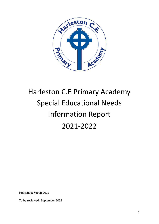

# Harleston C.E Primary Academy Special Educational Needs Information Report 2021-2022

Published: March 2022

To be reviewed: September 2022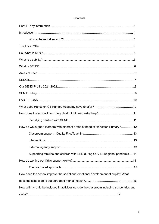| Contents |
|----------|
|----------|

| How do we support learners with different areas of need at Harleston Primary?12              |  |
|----------------------------------------------------------------------------------------------|--|
|                                                                                              |  |
|                                                                                              |  |
|                                                                                              |  |
| Supporting families and children with SEN during COVID-19 global pandemic14                  |  |
|                                                                                              |  |
|                                                                                              |  |
| How does the school improve the social and emotional development of pupils? What             |  |
|                                                                                              |  |
| How will my child be included in activities outside the classroom including school trips and |  |
|                                                                                              |  |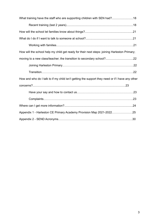| What training have the staff who are supporting children with SEN had?18                        |  |
|-------------------------------------------------------------------------------------------------|--|
|                                                                                                 |  |
|                                                                                                 |  |
|                                                                                                 |  |
|                                                                                                 |  |
| How will the school help my child get ready for their next steps: joining Harleston Primary;    |  |
|                                                                                                 |  |
|                                                                                                 |  |
|                                                                                                 |  |
| How and who do I talk to if my child isn't getting the support they need or if I have any other |  |
|                                                                                                 |  |
|                                                                                                 |  |
|                                                                                                 |  |
|                                                                                                 |  |
| Appendix 1 - Harleston CE Primary Academy Provision Map 2021-202225                             |  |
|                                                                                                 |  |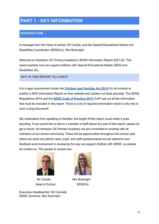# **PART 1 - KEY INFORMATION**

# **INTRODUCTION**

A message from the Head of school, Mr Carlyle, and the Special Educational Needs and Disabilities Coordinator (SENDCo), Mrs Botwright:

Welcome to Harleston CE Primary Academy's SEND Information Report 2021-22. This report explains how we support children with Special Educational Needs (SEN) and Disabilities (D).

#### WHY IS THIS REPORT SO LONG?!

It is a legal requirement (under the **[Children](https://www.legislation.gov.uk/ukpga/2014/6/pdfs/ukpga_20140006_en.pdf) and Families Act 2014**) for all schools to publish a SEN Information Report on their website and update it at least annually. The SEND Regulations 2014 and the **SEND Code of [Practice](https://assets.publishing.service.gov.uk/government/uploads/system/uploads/attachment_data/file/398815/SEND_Code_of_Practice_January_2015.pdf) 2015** (CoP) set out all the information that must be included in this report. There is a lot of required information which is why this is such a long document!

We understand from speaking to families, the length of this report could make it quite daunting. If you would like to talk to a member of staff about any part of this report, please do get in touch. At Harleston CE Primary Academy we are committed to working with all members of our school community. There will be opportunities throughout the school year where we send out parent/ carer, pupil, and staff questionnaires but we welcome your feedback and involvement in reviewing the way we support children with SEND, so please do contact us. The people to contact are:



Mr Carlyle Mrs Botwright Head of School SENDCo

Executive Headteacher: Mr Connelly SEND Governor: Mrs Summers

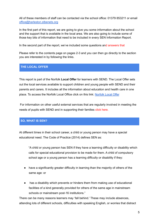All of these members of staff can be contacted via the school office: 01379 853211 or email [office@harleston.stbenets.org](mailto:office@harleston.stbenets.org)

In the first part of this report, we are going to give you some information about the school and the support that is available in the local area. We are also going to include some of those key bits of information that need to be included in every SEN Information Report.

In the second part of the report, we've included some questions and answers that

Please refer to the contents page on pages 2-3 and you can then go directly to the section you are interested in by following the links.

# **THE LOCAL OFFER**

This report is part of the Norfolk **Local Offer** for learners with SEND. The Local Offer sets out the local services available to support children and young people with SEND and their parents and carers. It includes all the information about education and health care in one place. To access the Norfolk Local Office click on this link: [Norfolk](https://www.norfolk.gov.uk/children-and-families/send-local-offer) Local Offer

For information on other useful external services that are regularly involved in meeting the needs of pupils with SEND and in supporting their families click here.

# **SO, WHAT IS SEN?**

At different times in their school career, a child or young person may have a special educational need. The Code of Practice (2014) defines SEN as:

"A child or young person has SEN if they have a learning difficulty or disability which calls for special educational provision to be made for them. A child of compulsory school age or a young person has a learning difficulty or disability if they:

- have a significantly greater difficulty in learning than the majority of others of the same age: or
- has a disability which prevents or hinders them from making use of educational facilities of a kind generally provided for others of the same age in mainstream schools or mainstream post-16 institutions."

There can be many reasons learners may 'fall behind.' These may include absences, attending lots of different schools, difficulties with speaking English, or worries that distract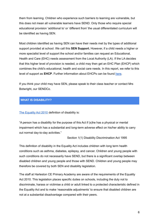them from learning. Children who experience such barriers to learning are vulnerable, but this does not mean all vulnerable learners have SEND. Only those who require special educational provision 'additional to' or 'different from' the usual differentiated curriculum will be identified as having SEN.

Most children identified as having SEN can have their needs met by the types of additional support provided at school. We call this **SEN Support.** However, if a child needs a higher or more specialist level of support the school and/or families can request an Educational, Health and Care (EHC) needs assessment from the Local Authority (LA). If the LA decides that this higher level of provision is needed, a child may then get an EHC Plan (EHCP) which combines the child's educational, health and social care needs. In this report, we refer to this level of support as **EHCP**. Further information about EHCPs can be found [here](https://www.norfolk.gov.uk/children-and-families/send-local-offer/education-and-learning/support-for-learning/education-health-and-care-ehc-plans/ehc-needs-assessment-and-plans/what-is-an-ehc-plan).

If you think your child may have SEN, please speak to their class teacher or contact Mrs Botwright, our SENDCo.

# **WHAT IS DISABILITY?**

The [Equality](https://www.legislation.gov.uk/ukpga/2010/15/contents) Act 2010 definition of disability is:

"A person has a disability for the purpose of this Act if (s)he has a physical or mental impairment which has a substantial and long-term adverse effect on his/her ability to carry out normal day-to-day activities."

Section 1(1) Disability Discrimination Act 1995

This definition of disability in the Equality Act includes children with long term health conditions such as asthma, diabetes, epilepsy, and cancer. Children and young people with such conditions do not necessarily have SEND, but there is a significant overlap between disabled children and young people and those with SEND. Children and young people may therefore be covered by both SEN and disability legislation.

The staff at Harleston CE Primary Academy are aware of the requirements of the Equality Act 2010. This legislation places specific duties on schools, including the duty not to discriminate, harass or victimise a child or adult linked to a protected characteristic defined in the Equality Act and to make 'reasonable adjustments' to ensure that disabled children are not at a substantial disadvantage compared with their peers.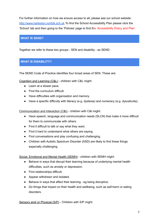For further information on how we ensure access to all, please see our school website: <http://www.harleston.norfolk.sch.uk> To find the School Accessibility Plan please click the 'School' tab and then going to the 'Policies' page to find the 'Accessibility Policy and Plan'.

# **WHAT IS SEND?**

Together we refer to these two groups - SEN and disability - as SEND.

# **WHAT IS DISABILITY?**

The SEND Code of Practice identifies four broad areas of SEN. These are:

Cognition and Learning (C&L) - children with C&L might:

- Learn at a slower pace.
- Find the curriculum difficult.
- Have difficulties with organisation and memory.
- Have a specific difficulty with literacy (e.g. dyslexia) and numeracy (e.g. dyscalculia).

Communication and Interaction (C&I) - children with C&I might:

- Have speech, language and communication needs (SLCN) that make it more difficult for them to communicate with others.
- Find it difficult to talk or say what they want.
- Find it hard to understand what others are saying.
- Find conversations and play confusing and challenging.
- Children with Autistic Spectrum Disorder (ASD) are likely to find these things especially challenging.

Social, Emotional and Mental Health (SEMH) - children with SEMH might:

- Behave in ways that disrupt their learning because of underlying mental health difficulties, such as anxiety or depression.
- Find relationships difficult.
- Appear withdrawn and isolated.
- Behave in ways that affect their learning eg being disruptive.
- Do things that impact on their health and wellbeing, such as self-harm or eating disorders.

Sensory and/ or Physical (S/P) - Children with S/P might: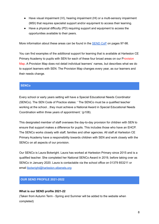- Have visual impairment (VI), hearing impairment (HI) or a multi-sensory impairment (MSI) that requires specialist support and/or equipment to access their learning.
- Have a physical difficulty (PD) requiring support and equipment to access the opportunities available to their peers.

More information about these areas can be found in the [SEND](https://assets.publishing.service.gov.uk/government/uploads/system/uploads/attachment_data/file/398815/SEND_Code_of_Practice_January_2015.pdf) CoP on pages 97-98.

You can find examples of the additional support for learning that is available at Harleston CE Primary Academy to pupils with SEN for each of these four broad areas on our Provision Map. A Provision Map does not detail individual learners' names, but describes what we do to support learners with SEN. The Provision Map changes every year, as our learners and their needs change.

# **SENCo**

Every school or early years setting will have a Special Educational Needs Coordinator (SENCo). The SEN Code of Practice states: ' The SENCo must be a qualified teacher working at the school…they must achieve a National Award in Special Educational Needs Coordination within three years of appointment.' (p108).

This designated member of staff oversees the day-to-day provision for children with SEN to ensure that support makes a difference for pupils. This includes those who have an EHCP. The SENCo works closely with staff, families and other agencies. All staff at Harleston CE Primary Academy have a responsibility towards children with SEN and work closely with the SENCo on all aspects of our provision.

Our SENCo is Laura Botwright. Laura has worked at Harleston Primary since 2015 and is a qualified teacher. She completed her National SENCo Award in 2019, before taking over as SENCo in January 2020. Laura is contactable via the school office on 01379 853211 or email [lbotwright@harleston.stbenets.org](mailto:lbotwright@harleston.stbenets.org)

# **OUR SEND PROFILE 2021-2022**

#### **What is our SEND profile 2021-22**

(Taken from Autumn Term - Spring and Summer will be added to the website when completed)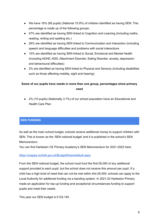- We have 16% (66 pupils) (National 15.9%) of children identified as having SEN. This percentage is made up of the following groups:
- 57% are identified as having SEN linked to Cognition and Learning (including maths, reading, writing and spelling etc.)
- 26% are identified as having SEN linked to Communication and Interaction (including speech and language difficulties and problems with social interactions
- 15% are identified as having SEN linked to Social, Emotional and Mental Health (including ADHD, ADD, Attachment Disorder, Eating Disorder, anxiety, depression and behavioural difficulties)
- 2% are identified as having SEN linked to Physical and Sensory (including disabilities such as those affecting mobility, sight and hearing)

# **Some of our pupils have needs in more than one group, percentages show primary need**

● 2% (10 pupils) (Nationally 3.7%) of our school population have an Educational and Health Care Plan

# **SEN FUNDING**

As well as the main school budget, schools recieve additional money to support children with SEN. This is known as the 'SEN notional budget' and it is published in the school's SEN Memorandum.

You can find Harleston CE Primary Academy's SEN Memorandum for 2021-2022 here:

#### <https://csapps.norfolk.gov.uk/BudgetShare/default.aspx>

From the SEN notional budget, the school must fund the first £6,000 of any additional support provided to each pupil, but the school does not receive this amount per pupil. If a child has a high level of need that can not be met within this £6,000, schools can apply to the Local Authority for additional funding via a banding system. In 2021-22 Harleston Primary made an application for top-up funding and exceptional circumstances funding to support pupils and meet their needs.

This year our SEN budget is £122,140.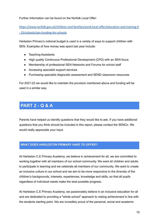Further information can be found on the Norfolk Local Offer:

[https://www.norfolk.gov.uk/children-and-families/send-local-offer/education-and-training-0](https://www.norfolk.gov.uk/children-and-families/send-local-offer/education-and-training-0-) [- 25/schools/sen-funding-for-schools](https://www.norfolk.gov.uk/children-and-families/send-local-offer/education-and-training-0-)

Harleston Primary's notional budget is used in a variety of ways to support children with SEN. Examples of how money was spent last year include:

- Teaching Assistants
- High quality Continuous Professional Development (CPD) with an SEN focus
- Membership of professional SEN Networks and Forums for school staff
- Accessing specialist support services
- Purchasing specialist diagnostic assessment and SEND classroom resources

For 2021-22 we would like to maintain the provision mentioned above and funding will be used in a similar way.

# **PART 2 - Q & A**

Parents have helped us identify questions that they would like to ask. If you have additional questions that you think should be included in this report, please contact the SENCo. We would really appreciate your input.

# **WHAT DOES HARLESTON PRIMARY HAVE TO OFFER?**

At Harleston C.E Primary Academy, we believe in achievement for all, we are committed to working together with all members of our school community. We want all children and adults to participate in learning and we celebrate all members of our community. We want to create an inclusive culture in our school and we aim to be more responsive to the diversity of the children's backgrounds, interests, experiences, knowledge and skills, so that all pupils regardless of individual needs make the best possible progress.

At Harleston C.E Primary Academy, we passionately believe in an inclusive education for all and are dedicated to providing a "whole school" approach to raising achievement in line with the students starting point. We are incredibly proud of the personal, social and academic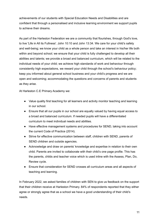achievements of our students with Special Education Needs and Disabilities and are confident that through a personalised and inclusive learning environment we support pupils to achieve their dreams.

As part of the Harleston Federation we are a community that flourishes, through God's love, to live 'Life in All its Fullness'. John 10:10 and John 13:34. We care for your child's safety and well-being; we know your child as a whole person and take an interest in his/her life both within and beyond school; we ensure that your child is fully challenged to develop all their abilities and talents; we provide a broad and balanced curriculum, which will be related to the individual needs of your child; we achieve high standards of work and behaviour through consistently high expectations, we reward your child through the school's behaviour policy; keep you informed about general school business and your child's progress and we are open and welcoming; accommodating the questions and concerns of parents and students as they arise.

At Harleston C.E Primary Academy we:

- Value quality first teaching for all learners and activity monitor teaching and learning in our school.
- Ensure that all our pupils in our school are equally valued by having equal access to a broad and balanced curriculum. If needed pupils will have a differentiated curriculum to meet individual needs and abilities.
- Have effective management systems and procedures for SEND, taking into account the current Code of Practice (2014).
- Strive for effective communication between staff, children with SEND, parents of SEND children and outside agencies.
- Acknowledge and draw on parents' knowledge and expertise in relation to their own child. Parents are invited to collaborate with their child's one page profile. This has the parents, childs and teacher voice which is used inline with the Assess, Plan, Do, Review cycle.
- Ensure that consideration for SEND crosses all curriculum areas and all aspects of teaching and learning.

In February 2022, we asked families of children with SEN to give us feedback on the support that their children receive at Harleston Primary. 84% of respondents reported that they either agree or strongly agree that as a school we have a good understanding of their child's needs.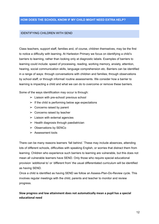#### **HOW DOES THE SCHOOL KNOW IF MY CHILD MIGHT NEED EXTRA HELP?**

#### IDENTIFYING CHILDREN WITH SEND

Class teachers, support staff, families and, of course, children themselves, may be the first to notice a difficulty with learning. At Harleston Primary we focus on identifying a child's barriers to learning, rather than looking only at diagnostic labels. Examples of barriers to learning could include: speed of processing, reading, working memory, anxiety, attention, hearing, social communication skills, language comprehension etc. Barriers can be identified in a range of ways: through conversations with children and families; through observations by school staff; or through informal/ routine assessments. We consider how a barrier to learning is impacting a child and what we can do to overcome or remove these barriers.

Some of the ways identification may occur is through:

- $\triangleright$  Liaison with pre-school/ previous school
- $\triangleright$  If the child is performing below age expectations
- $\triangleright$  Concerns raised by parent
- $\triangleright$  Concerns raised by teacher
- $\geq$  Liaison with external agencies
- $\triangleright$  Health diagnosis through paediatrician
- $\geq$  Observations by SENCo
- $\geq$  Assessment tools

There can be many reasons learners 'fall behind.' These may include absences, attending lots of different schools, difficulties with speaking English, or worries that distract them from learning. Children who experience such barriers to learning are vulnerable, but this does not mean all vulnerable learners have SEND. Only those who require special educational provision 'additional to' or 'different from' the usual differentiated curriculum will be identified as having SEND.

Once a child is identified as having SEND we follow an Assess-Plan-Do-Review cycle. This involves regular meetings with the child, parents and teacher to monitor and review progress.

**Slow progress and low attainment does not automatically mean a pupil has a special educational need**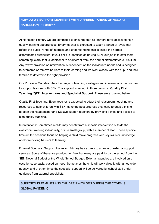# **HOW DO WE SUPPORT LEARNERS WITH DIFFERENT AREAS OF NEED AT HARLESTON PRIMARY?**

At Harleston Primary we are committed to ensuring that all learners have access to high quality learning opportunities. Every teacher is expected to teach a range of levels that reflect the pupils' range of interests and understanding; this is called the normal differentiated curriculum. If your child is identified as having SEN, our job is to offer them something 'extra' that is 'additional to or different from' the normal differentiated curriculum. Any 'extra' provision or intervention is dependent on the individual's needs and is designed to overcome or remove barriers to their learning and we work closely with the pupil and their families to determine the right provision.

Our Provision Map describes the range of teaching strategies and interventions that we use to support learners with SEN. The support is set out in three columns: **Quality First Teaching (QFT), Interventions and Specialist Support**. These are explained below:

Quality First Teaching: Every teacher is expected to adapt their classroom, teaching and resources to help children with SEN make the best progress they can. To enable this to happen the Headteacher and SENCo support teachers by providing advice and access to high quality teaching.

Interventions: Sometimes a child may benefit from a specific intervention outside the classroom, working individually, or in a small group, with a member of staff. These specific, time-limited sessions focus on helping a child make progress with key skills or knowledge and/or removing barriers to learning.

External Specialist Support: Harleston Primary has access to a range of external support services. Some of these are provided for free, but many are paid for by the school from the SEN Notional Budget or the Whole School Budget. External agencies are involved on a case-by-case basis, based on need. Sometimes the child will work directly with an outside agency, and at other times the specialist support will be delivered by school staff under guidance from external specialists.

# SUPPORTING FAMILIES AND CHILDREN WITH SEN DURING THE COVID-19 GLOBAL PANDEMIC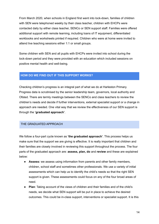From March 2020, when schools in England first went into lock-down, families of children with SEN were telephoned weekly by their class teacher, children with EHCPs were contacted daily by either class teacher, SENCo or SEN support staff. Families were offered additional support with remote learning, including loans of IT equipment, differentiated workbooks and worksheets printed if required. Children who were at home were invited to attend live teaching sessions either 1:1 or small groups.

Some children with SEN and all pupils with EHCPs were invited into school during the lock-down period and they were provided with an education which included sessions on positive mental health and well-being.

# **HOW DO WE FIND OUT IF THIS SUPPORT WORKS?**

Checking children's progress is an integral part of what we do at Harleston Primary. Progress data is scrutinised by the senior leadership team, governors, local authority and Ofsted. There are termly meetings between the SENCo and class teachers to review the children's needs and decide if further interventions, external specialist support or a change in approach are needed. One vital way that we review the effectiveness of our SEN support is through the **'graduated approach'**.

#### THE GRADUATED APPROACH

We follow a four-part cycle known as **'the graduated approach'**. This process helps us make sure that the support we are giving is effective. It is really important that children and their families are closely involved in reviewing this support throughout the process. The four parts of the graduated approach are: **assess, plan, do** and **review** and these are explained below:

- **Assess:** we assess using information from parents and other family members, children, school staff and sometimes other professionals. We use a variety of initial assessments which can help us to identify the child's needs so that the right SEN support is given. These assessments could focus on any of the four broad areas of need.
- **Plan**: Taking account of the views of children and their families and of the child's needs, we decide what SEN support will be put in place to achieve the desired outcomes. This could be in-class support, interventions or specialist support. It is this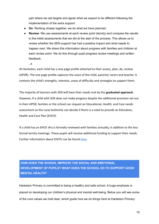part where we set targets and agree what we expect to be different following the implementation of the extra support.

- **Do**: Working closely together, we do what we have planned.
- **Review**: We use assessments at each review point (termly) and compare the results to the initial assessments that we did at the start of the process. This allows us to review whether the SEN support has had a positive impact and what needs to happen next. We share this information about progress with families and children at each review point. We do this through pupil progress review meetings and written feedback.
	- , a

At Harleston, each child has a one page profile attached to their assess, plan, do, review (APDR). The one page profile captures the voice of the child, parents/ carers and teacher. It contains the child's strengths, interests, areas of difficulty and strategies to support them.

The majority of learners with SEN will have their needs met by this **graduated approach.** However, if a child with SEN does not make progress despite the additional provision set out in their APDR, families or the school can request an Educational, Health, and Care needs assessment so the Local Authority can decide if there is a need to provide an Education, Health and Care Plan (EHCP).

If a child has an EHCP, this is formally reviewed with families annually, in addition to the less formal termly meetings. These pupils will receive additional funding to support their needs. Further information about EHCPs can be found [here](https://www.norfolk.gov.uk/children-and-families/send-local-offer/education-and-learning/support-for-learning/education-health-and-care-ehc-plans/ehc-needs-assessment-and-plans/ehc-needs-assessment-requests).

# **HOW DOES THE SCHOOL IMPROVE THE SOCIAL AND EMOTIONAL DEVELOPMENT OF PUPILS? WHAT DOES THE SCHOOL DO TO SUPPORT GOOD MENTAL HEALTH?**

Harleston Primary is committed to being a healthy and safe school. A huge emphasis is placed on developing our children's physical and mental well-being. Below you will see some of the core values we hold dear, which guide how we do things here at Harleston Primary: